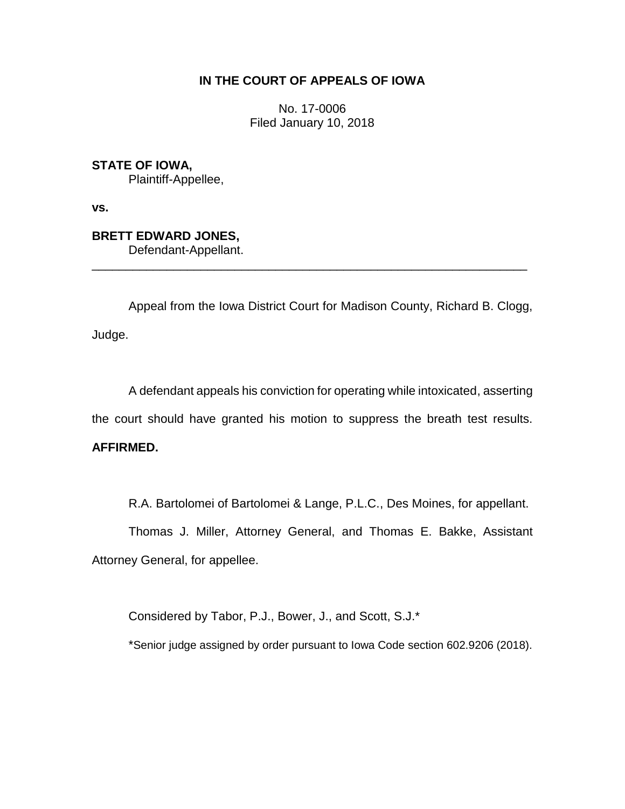# **IN THE COURT OF APPEALS OF IOWA**

No. 17-0006 Filed January 10, 2018

**STATE OF IOWA,** Plaintiff-Appellee,

**vs.**

**BRETT EDWARD JONES,**

Defendant-Appellant.

Appeal from the Iowa District Court for Madison County, Richard B. Clogg, Judge.

\_\_\_\_\_\_\_\_\_\_\_\_\_\_\_\_\_\_\_\_\_\_\_\_\_\_\_\_\_\_\_\_\_\_\_\_\_\_\_\_\_\_\_\_\_\_\_\_\_\_\_\_\_\_\_\_\_\_\_\_\_\_\_\_

A defendant appeals his conviction for operating while intoxicated, asserting the court should have granted his motion to suppress the breath test results. **AFFIRMED.**

R.A. Bartolomei of Bartolomei & Lange, P.L.C., Des Moines, for appellant.

Thomas J. Miller, Attorney General, and Thomas E. Bakke, Assistant Attorney General, for appellee.

Considered by Tabor, P.J., Bower, J., and Scott, S.J.\*

\*Senior judge assigned by order pursuant to Iowa Code section 602.9206 (2018).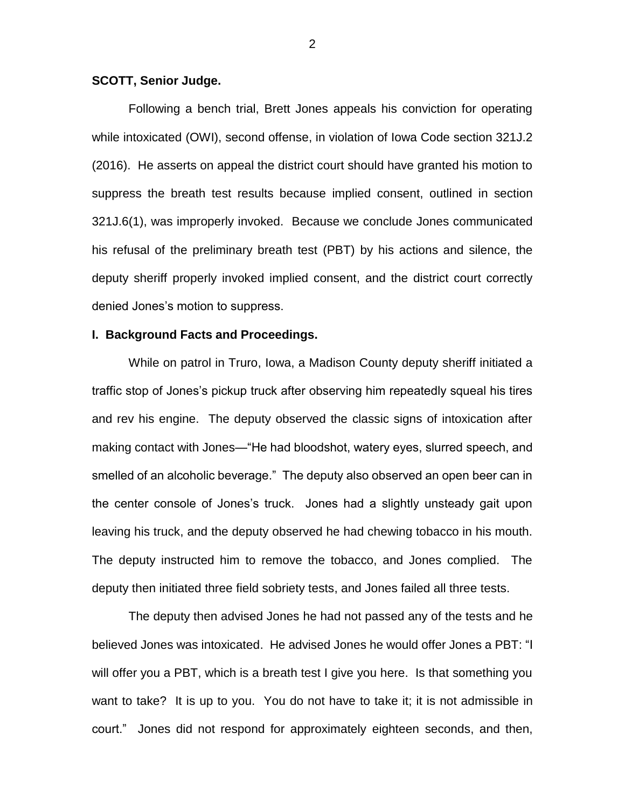### **SCOTT, Senior Judge.**

Following a bench trial, Brett Jones appeals his conviction for operating while intoxicated (OWI), second offense, in violation of Iowa Code section 321J.2 (2016). He asserts on appeal the district court should have granted his motion to suppress the breath test results because implied consent, outlined in section 321J.6(1), was improperly invoked. Because we conclude Jones communicated his refusal of the preliminary breath test (PBT) by his actions and silence, the deputy sheriff properly invoked implied consent, and the district court correctly denied Jones's motion to suppress.

### **I. Background Facts and Proceedings.**

While on patrol in Truro, Iowa, a Madison County deputy sheriff initiated a traffic stop of Jones's pickup truck after observing him repeatedly squeal his tires and rev his engine. The deputy observed the classic signs of intoxication after making contact with Jones—"He had bloodshot, watery eyes, slurred speech, and smelled of an alcoholic beverage." The deputy also observed an open beer can in the center console of Jones's truck. Jones had a slightly unsteady gait upon leaving his truck, and the deputy observed he had chewing tobacco in his mouth. The deputy instructed him to remove the tobacco, and Jones complied. The deputy then initiated three field sobriety tests, and Jones failed all three tests.

The deputy then advised Jones he had not passed any of the tests and he believed Jones was intoxicated. He advised Jones he would offer Jones a PBT: "I will offer you a PBT, which is a breath test I give you here. Is that something you want to take? It is up to you. You do not have to take it; it is not admissible in court." Jones did not respond for approximately eighteen seconds, and then,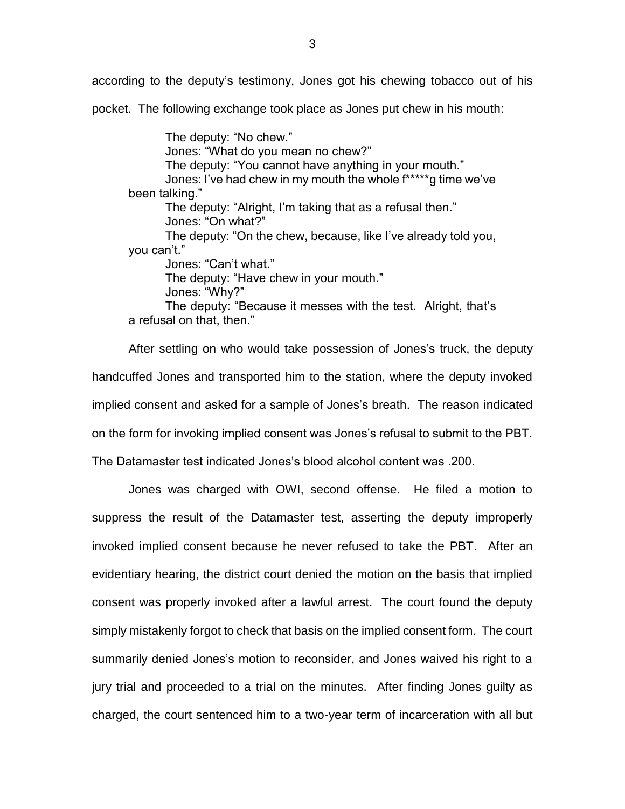according to the deputy's testimony, Jones got his chewing tobacco out of his pocket. The following exchange took place as Jones put chew in his mouth:

The deputy: "No chew." Jones: "What do you mean no chew?" The deputy: "You cannot have anything in your mouth." Jones: I've had chew in my mouth the whole f\*\*\*\*\*g time we've been talking." The deputy: "Alright, I'm taking that as a refusal then." Jones: "On what?" The deputy: "On the chew, because, like I've already told you, you can't." Jones: "Can't what." The deputy: "Have chew in your mouth." Jones: "Why?" The deputy: "Because it messes with the test. Alright, that's a refusal on that, then."

After settling on who would take possession of Jones's truck, the deputy handcuffed Jones and transported him to the station, where the deputy invoked implied consent and asked for a sample of Jones's breath. The reason indicated on the form for invoking implied consent was Jones's refusal to submit to the PBT.

The Datamaster test indicated Jones's blood alcohol content was .200.

Jones was charged with OWI, second offense. He filed a motion to suppress the result of the Datamaster test, asserting the deputy improperly invoked implied consent because he never refused to take the PBT. After an evidentiary hearing, the district court denied the motion on the basis that implied consent was properly invoked after a lawful arrest. The court found the deputy simply mistakenly forgot to check that basis on the implied consent form. The court summarily denied Jones's motion to reconsider, and Jones waived his right to a jury trial and proceeded to a trial on the minutes. After finding Jones guilty as charged, the court sentenced him to a two-year term of incarceration with all but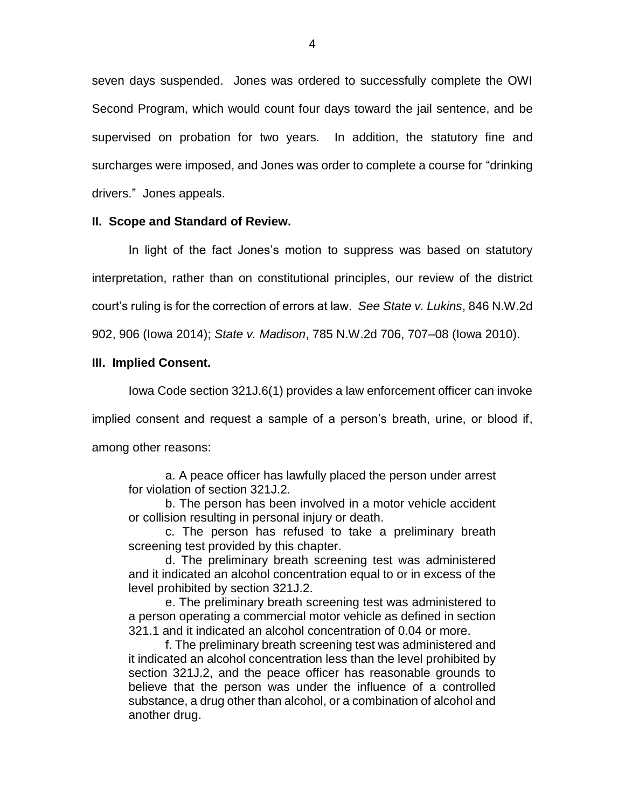seven days suspended. Jones was ordered to successfully complete the OWI Second Program, which would count four days toward the jail sentence, and be supervised on probation for two years. In addition, the statutory fine and surcharges were imposed, and Jones was order to complete a course for "drinking drivers." Jones appeals.

### **II. Scope and Standard of Review.**

In light of the fact Jones's motion to suppress was based on statutory interpretation, rather than on constitutional principles, our review of the district court's ruling is for the correction of errors at law. *See State v. Lukins*, 846 N.W.2d

902, 906 (Iowa 2014); *State v. Madison*, 785 N.W.2d 706, 707–08 (Iowa 2010).

## **III. Implied Consent.**

Iowa Code section 321J.6(1) provides a law enforcement officer can invoke

implied consent and request a sample of a person's breath, urine, or blood if,

among other reasons:

a. A peace officer has lawfully placed the person under arrest for violation of section 321J.2.

b. The person has been involved in a motor vehicle accident or collision resulting in personal injury or death.

c. The person has refused to take a preliminary breath screening test provided by this chapter.

d. The preliminary breath screening test was administered and it indicated an alcohol concentration equal to or in excess of the level prohibited by section 321J.2.

e. The preliminary breath screening test was administered to a person operating a commercial motor vehicle as defined in section 321.1 and it indicated an alcohol concentration of 0.04 or more.

f. The preliminary breath screening test was administered and it indicated an alcohol concentration less than the level prohibited by section 321J.2, and the peace officer has reasonable grounds to believe that the person was under the influence of a controlled substance, a drug other than alcohol, or a combination of alcohol and another drug.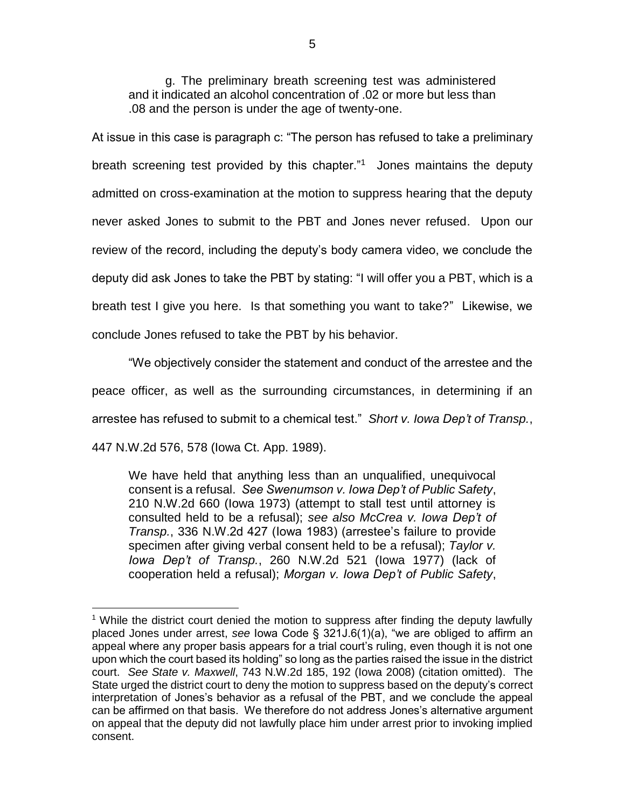g. The preliminary breath screening test was administered and it indicated an alcohol concentration of .02 or more but less than .08 and the person is under the age of twenty-one.

At issue in this case is paragraph c: "The person has refused to take a preliminary breath screening test provided by this chapter."<sup>1</sup> Jones maintains the deputy admitted on cross-examination at the motion to suppress hearing that the deputy never asked Jones to submit to the PBT and Jones never refused. Upon our review of the record, including the deputy's body camera video, we conclude the deputy did ask Jones to take the PBT by stating: "I will offer you a PBT, which is a breath test I give you here. Is that something you want to take?" Likewise, we conclude Jones refused to take the PBT by his behavior.

"We objectively consider the statement and conduct of the arrestee and the peace officer, as well as the surrounding circumstances, in determining if an arrestee has refused to submit to a chemical test." *Short v. Iowa Dep't of Transp.*, 447 N.W.2d 576, 578 (Iowa Ct. App. 1989).

We have held that anything less than an unqualified, unequivocal consent is a refusal. *See Swenumson v. Iowa Dep't of Public Safety*, 210 N.W.2d 660 (Iowa 1973) (attempt to stall test until attorney is consulted held to be a refusal); *see also McCrea v. Iowa Dep't of Transp.*, 336 N.W.2d 427 (Iowa 1983) (arrestee's failure to provide specimen after giving verbal consent held to be a refusal); *Taylor v. Iowa Dep't of Transp.*, 260 N.W.2d 521 (Iowa 1977) (lack of cooperation held a refusal); *Morgan v. Iowa Dep't of Public Safety*,

 $\overline{a}$ 

<sup>&</sup>lt;sup>1</sup> While the district court denied the motion to suppress after finding the deputy lawfully placed Jones under arrest, *see* Iowa Code § 321J.6(1)(a), "we are obliged to affirm an appeal where any proper basis appears for a trial court's ruling, even though it is not one upon which the court based its holding" so long as the parties raised the issue in the district court. *See State v. Maxwell*, 743 N.W.2d 185, 192 (Iowa 2008) (citation omitted). The State urged the district court to deny the motion to suppress based on the deputy's correct interpretation of Jones's behavior as a refusal of the PBT, and we conclude the appeal can be affirmed on that basis. We therefore do not address Jones's alternative argument on appeal that the deputy did not lawfully place him under arrest prior to invoking implied consent.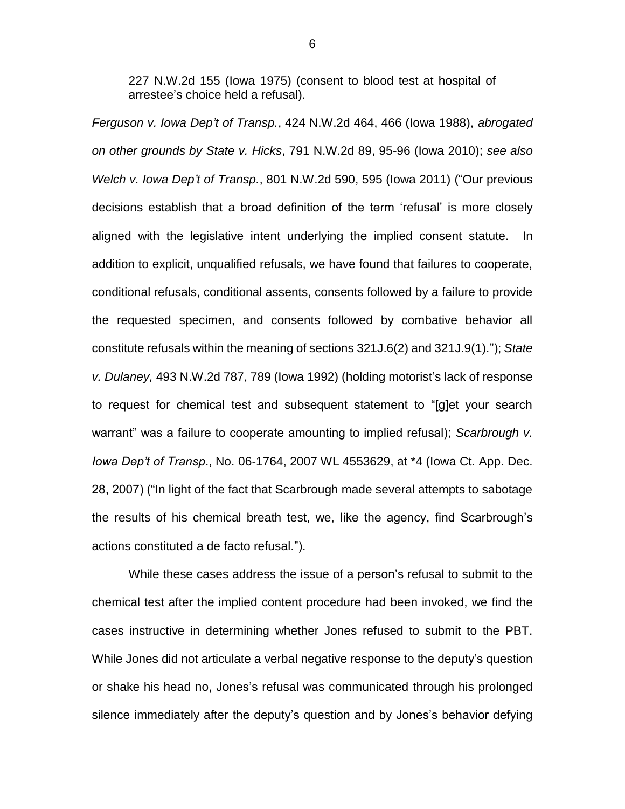227 N.W.2d 155 (Iowa 1975) (consent to blood test at hospital of arrestee's choice held a refusal).

*Ferguson v. Iowa Dep't of Transp.*, 424 N.W.2d 464, 466 (Iowa 1988), *abrogated on other grounds by State v. Hicks*, 791 N.W.2d 89, 95-96 (Iowa 2010); *see also Welch v. Iowa Dep't of Transp.*, 801 N.W.2d 590, 595 (Iowa 2011) ("Our previous decisions establish that a broad definition of the term 'refusal' is more closely aligned with the legislative intent underlying the implied consent statute. In addition to explicit, unqualified refusals, we have found that failures to cooperate, conditional refusals, conditional assents, consents followed by a failure to provide the requested specimen, and consents followed by combative behavior all constitute refusals within the meaning of sections 321J.6(2) and 321J.9(1)."); *State v. Dulaney,* 493 N.W.2d 787, 789 (Iowa 1992) (holding motorist's lack of response to request for chemical test and subsequent statement to "[g]et your search warrant" was a failure to cooperate amounting to implied refusal); *Scarbrough v. Iowa Dep't of Transp*., No. 06-1764, 2007 WL 4553629, at \*4 (Iowa Ct. App. Dec. 28, 2007) ("In light of the fact that Scarbrough made several attempts to sabotage the results of his chemical breath test, we, like the agency, find Scarbrough's actions constituted a de facto refusal.").

While these cases address the issue of a person's refusal to submit to the chemical test after the implied content procedure had been invoked, we find the cases instructive in determining whether Jones refused to submit to the PBT. While Jones did not articulate a verbal negative response to the deputy's question or shake his head no, Jones's refusal was communicated through his prolonged silence immediately after the deputy's question and by Jones's behavior defying

6